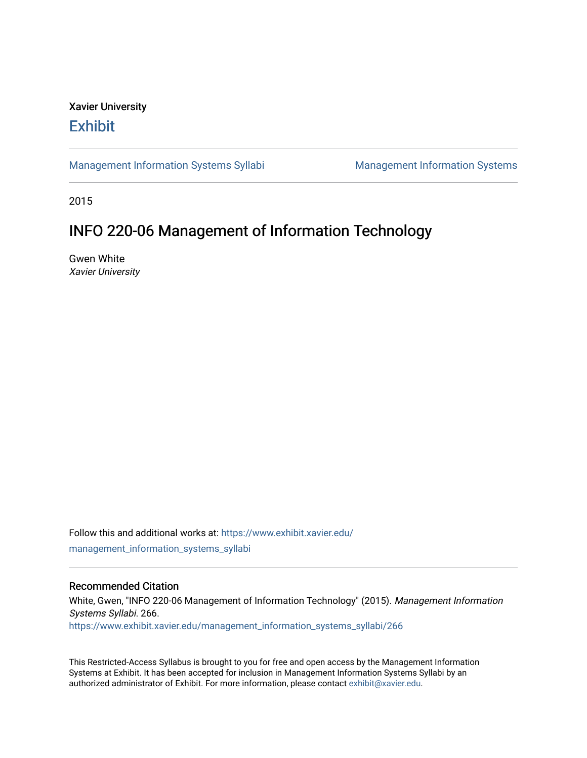## Xavier University **Exhibit**

[Management Information Systems Syllabi](https://www.exhibit.xavier.edu/management_information_systems_syllabi) Management Information Systems

2015

# INFO 220-06 Management of Information Technology

Gwen White Xavier University

Follow this and additional works at: [https://www.exhibit.xavier.edu/](https://www.exhibit.xavier.edu/management_information_systems_syllabi?utm_source=www.exhibit.xavier.edu%2Fmanagement_information_systems_syllabi%2F266&utm_medium=PDF&utm_campaign=PDFCoverPages) [management\\_information\\_systems\\_syllabi](https://www.exhibit.xavier.edu/management_information_systems_syllabi?utm_source=www.exhibit.xavier.edu%2Fmanagement_information_systems_syllabi%2F266&utm_medium=PDF&utm_campaign=PDFCoverPages) 

#### Recommended Citation

White, Gwen, "INFO 220-06 Management of Information Technology" (2015). Management Information Systems Syllabi. 266. [https://www.exhibit.xavier.edu/management\\_information\\_systems\\_syllabi/266](https://www.exhibit.xavier.edu/management_information_systems_syllabi/266?utm_source=www.exhibit.xavier.edu%2Fmanagement_information_systems_syllabi%2F266&utm_medium=PDF&utm_campaign=PDFCoverPages) 

This Restricted-Access Syllabus is brought to you for free and open access by the Management Information Systems at Exhibit. It has been accepted for inclusion in Management Information Systems Syllabi by an authorized administrator of Exhibit. For more information, please contact [exhibit@xavier.edu](mailto:exhibit@xavier.edu).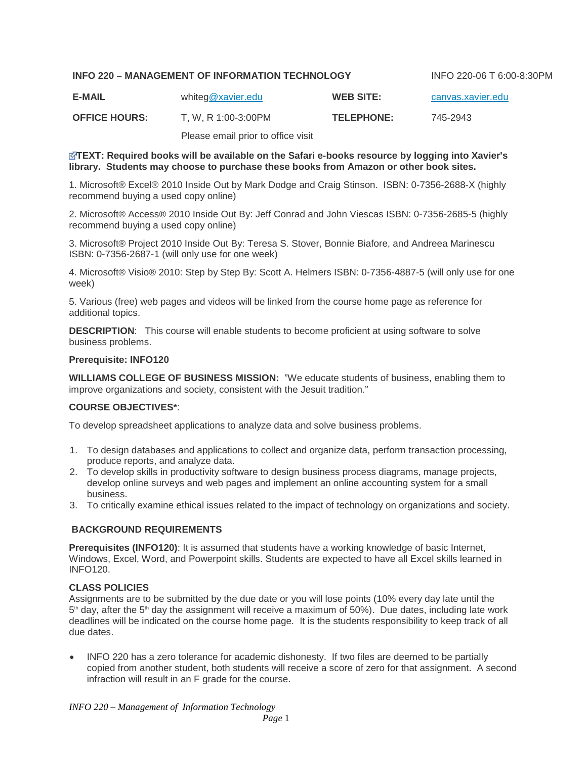#### **INFO 220 – MANAGEMENT OF INFORMATION TECHNOLOGY** INFO 220-06 T 6:00-8:30PM

| <b>E-MAIL</b> | whiteg@xavier.edu | <b>WEB SITE:</b> | canvas.xavier.edu |
|---------------|-------------------|------------------|-------------------|
|               |                   |                  |                   |

**OFFICE HOURS:** T, W, R 1:00-3:00PM **TELEPHONE:** 745-2943

Please email prior to office visit

#### **[T](https://canvas.xavier.edu/courses/9996/files/650725/download?wrap=1)EXT: Required books will be available on the Safari e-books resource by logging into Xavier's library. Students may choose to purchase these books from Amazon or other book sites.**

1. Microsoft® Excel® 2010 Inside Out by Mark Dodge and Craig Stinson. ISBN: 0-7356-2688-X (highly recommend buying a used copy online)

2. Microsoft® Access® 2010 Inside Out By: Jeff Conrad and John Viescas ISBN: 0-7356-2685-5 (highly recommend buying a used copy online)

3. Microsoft® Project 2010 Inside Out By: Teresa S. Stover, Bonnie Biafore, and Andreea Marinescu ISBN: 0-7356-2687-1 (will only use for one week)

4. Microsoft® Visio® 2010: Step by Step By: Scott A. Helmers ISBN: 0-7356-4887-5 (will only use for one week)

5. Various (free) web pages and videos will be linked from the course home page as reference for additional topics.

**DESCRIPTION**: This course will enable students to become proficient at using software to solve business problems.

#### **Prerequisite: INFO120**

**WILLIAMS COLLEGE OF BUSINESS MISSION:** "We educate students of business, enabling them to improve organizations and society, consistent with the Jesuit tradition."

#### **COURSE OBJECTIVES\***:

To develop spreadsheet applications to analyze data and solve business problems.

- 1. To design databases and applications to collect and organize data, perform transaction processing, produce reports, and analyze data.
- 2. To develop skills in productivity software to design business process diagrams, manage projects, develop online surveys and web pages and implement an online accounting system for a small business.
- 3. To critically examine ethical issues related to the impact of technology on organizations and society.

#### **BACKGROUND REQUIREMENTS**

**Prerequisites (INFO120)**: It is assumed that students have a working knowledge of basic Internet, Windows, Excel, Word, and Powerpoint skills. Students are expected to have all Excel skills learned in INFO120.

#### **CLASS POLICIES**

Assignments are to be submitted by the due date or you will lose points (10% every day late until the  $5<sup>th</sup>$  day, after the  $5<sup>th</sup>$  day the assignment will receive a maximum of 50%). Due dates, including late work deadlines will be indicated on the course home page. It is the students responsibility to keep track of all due dates.

• INFO 220 has a zero tolerance for academic dishonesty. If two files are deemed to be partially copied from another student, both students will receive a score of zero for that assignment. A second infraction will result in an F grade for the course.